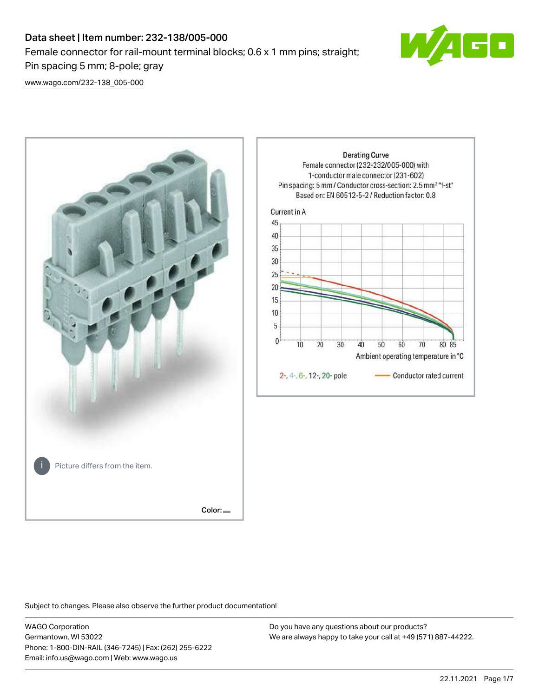# Data sheet | Item number: 232-138/005-000 Female connector for rail-mount terminal blocks; 0.6 x 1 mm pins; straight; Pin spacing 5 mm; 8-pole; gray



[www.wago.com/232-138\\_005-000](http://www.wago.com/232-138_005-000)



Subject to changes. Please also observe the further product documentation!

WAGO Corporation Germantown, WI 53022 Phone: 1-800-DIN-RAIL (346-7245) | Fax: (262) 255-6222 Email: info.us@wago.com | Web: www.wago.us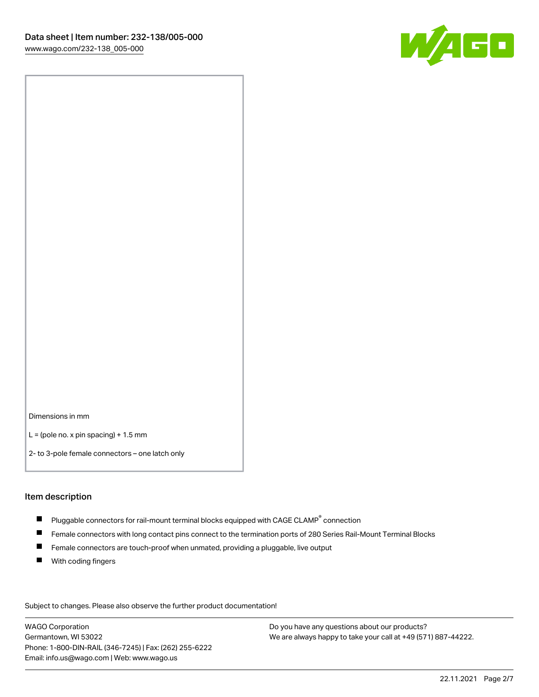

Dimensions in mm

 $L =$  (pole no. x pin spacing) + 1.5 mm

2- to 3-pole female connectors – one latch only

#### Item description

- $\blacksquare$  Pluggable connectors for rail-mount terminal blocks equipped with CAGE CLAMP $^\circ$  connection
- Female connectors with long contact pins connect to the termination ports of 280 Series Rail-Mount Terminal Blocks
- $\blacksquare$ Female connectors are touch-proof when unmated, providing a pluggable, live output
- $\blacksquare$ With coding fingers

Subject to changes. Please also observe the further product documentation! Data

WAGO Corporation Germantown, WI 53022 Phone: 1-800-DIN-RAIL (346-7245) | Fax: (262) 255-6222 Email: info.us@wago.com | Web: www.wago.us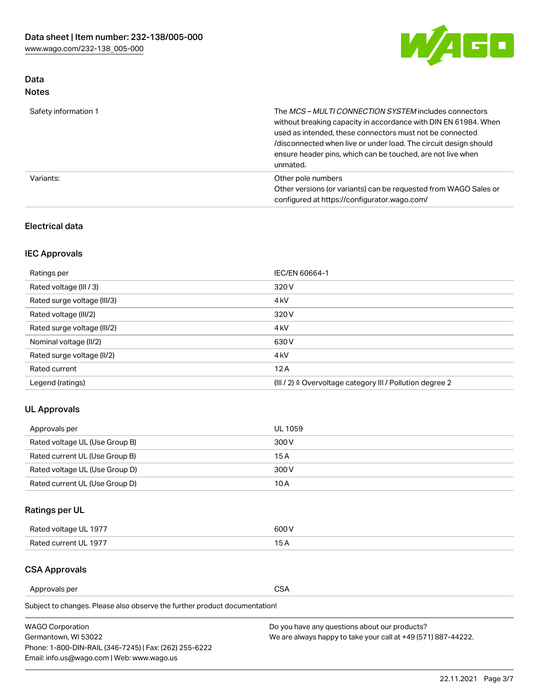

# Data Notes

| Safety information 1 | The MCS-MULTI CONNECTION SYSTEM includes connectors<br>without breaking capacity in accordance with DIN EN 61984. When<br>used as intended, these connectors must not be connected<br>/disconnected when live or under load. The circuit design should<br>ensure header pins, which can be touched, are not live when<br>unmated. |
|----------------------|-----------------------------------------------------------------------------------------------------------------------------------------------------------------------------------------------------------------------------------------------------------------------------------------------------------------------------------|
| Variants:            | Other pole numbers<br>Other versions (or variants) can be requested from WAGO Sales or<br>configured at https://configurator.wago.com/                                                                                                                                                                                            |

## Electrical data

# IEC Approvals

| Ratings per                 | IEC/EN 60664-1                                                        |
|-----------------------------|-----------------------------------------------------------------------|
| Rated voltage (III / 3)     | 320 V                                                                 |
| Rated surge voltage (III/3) | 4 <sub>k</sub> V                                                      |
| Rated voltage (III/2)       | 320 V                                                                 |
| Rated surge voltage (III/2) | 4 <sub>k</sub> V                                                      |
| Nominal voltage (II/2)      | 630 V                                                                 |
| Rated surge voltage (II/2)  | 4 <sub>k</sub> V                                                      |
| Rated current               | 12A                                                                   |
| Legend (ratings)            | $(III / 2)$ $\triangle$ Overvoltage category III / Pollution degree 2 |

## UL Approvals

| Approvals per                  | UL 1059 |
|--------------------------------|---------|
| Rated voltage UL (Use Group B) | 300 V   |
| Rated current UL (Use Group B) | 15 A    |
| Rated voltage UL (Use Group D) | 300 V   |
| Rated current UL (Use Group D) | 10 A    |

# Ratings per UL

| Rated voltage UL 1977 | 300 V |
|-----------------------|-------|
| Rated current UL 1977 |       |

### CSA Approvals

Approvals per CSA

Subject to changes. Please also observe the further product documentation!

| <b>WAGO Corporation</b>                                | Do you have any questions about our products?                 |
|--------------------------------------------------------|---------------------------------------------------------------|
| Germantown, WI 53022                                   | We are always happy to take your call at +49 (571) 887-44222. |
| Phone: 1-800-DIN-RAIL (346-7245)   Fax: (262) 255-6222 |                                                               |
| Email: info.us@wago.com   Web: www.wago.us             |                                                               |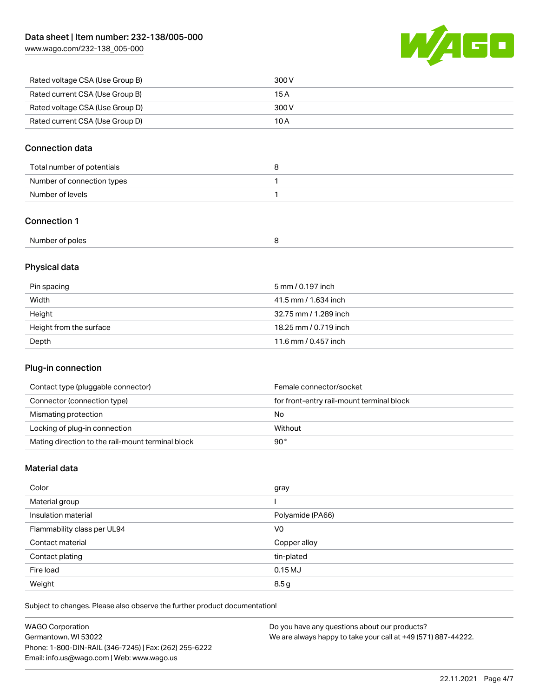[www.wago.com/232-138\\_005-000](http://www.wago.com/232-138_005-000)



| Rated voltage CSA (Use Group B) | 300 V |
|---------------------------------|-------|
| Rated current CSA (Use Group B) | 15 A  |
| Rated voltage CSA (Use Group D) | 300 V |
| Rated current CSA (Use Group D) | 10 A  |

## Connection data

| Total number of potentials |  |
|----------------------------|--|
| Number of connection types |  |
| Number of levels           |  |

# Connection 1

# Physical data

| Pin spacing             | 5 mm / 0.197 inch     |
|-------------------------|-----------------------|
| Width                   | 41.5 mm / 1.634 inch  |
| Height                  | 32.75 mm / 1.289 inch |
| Height from the surface | 18.25 mm / 0.719 inch |
| Depth                   | 11.6 mm / 0.457 inch  |

## Plug-in connection

| Contact type (pluggable connector)                | Female connector/socket                   |
|---------------------------------------------------|-------------------------------------------|
| Connector (connection type)                       | for front-entry rail-mount terminal block |
| Mismating protection                              | No                                        |
| Locking of plug-in connection                     | Without                                   |
| Mating direction to the rail-mount terminal block | 90°                                       |

## Material data

| Color                       | gray             |
|-----------------------------|------------------|
| Material group              |                  |
| Insulation material         | Polyamide (PA66) |
| Flammability class per UL94 | V <sub>0</sub>   |
| Contact material            | Copper alloy     |
| Contact plating             | tin-plated       |
| Fire load                   | 0.15MJ           |
| Weight                      | 8.5g             |

Subject to changes. Please also observe the further product documentation!

| <b>WAGO Corporation</b>                                | Do you have any questions about our products?                 |
|--------------------------------------------------------|---------------------------------------------------------------|
| Germantown, WI 53022                                   | We are always happy to take your call at +49 (571) 887-44222. |
| Phone: 1-800-DIN-RAIL (346-7245)   Fax: (262) 255-6222 |                                                               |
| Email: info.us@wago.com   Web: www.wago.us             |                                                               |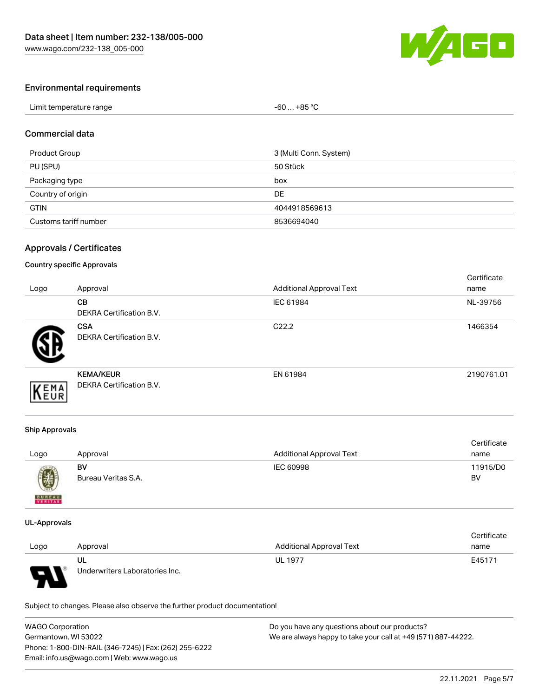

## Environmental requirements

| Limit temperature range | $-60+85 °C$ |  |
|-------------------------|-------------|--|
|-------------------------|-------------|--|

#### Commercial data

| Product Group         | 3 (Multi Conn. System) |
|-----------------------|------------------------|
| PU (SPU)              | 50 Stück               |
| Packaging type        | box                    |
| Country of origin     | DE                     |
| <b>GTIN</b>           | 4044918569613          |
| Customs tariff number | 8536694040             |

## Approvals / Certificates

#### Country specific Approvals

| Logo | Approval                                            | <b>Additional Approval Text</b> | Certificate<br>name |
|------|-----------------------------------------------------|---------------------------------|---------------------|
|      | <b>CB</b><br><b>DEKRA Certification B.V.</b>        | IEC 61984                       | NL-39756            |
|      | <b>CSA</b><br>DEKRA Certification B.V.              | C <sub>22.2</sub>               | 1466354             |
| EMA  | <b>KEMA/KEUR</b><br><b>DEKRA Certification B.V.</b> | EN 61984                        | 2190761.01          |

#### Ship Approvals

| Logo          | Approval            | <b>Additional Approval Text</b> | Certificate<br>name |
|---------------|---------------------|---------------------------------|---------------------|
| 國             | BV                  | IEC 60998                       | 11915/D0            |
| <b>BUREAU</b> | Bureau Veritas S.A. |                                 | BV                  |

#### UL-Approvals

|      |                                |                                 | Certificate |
|------|--------------------------------|---------------------------------|-------------|
| Logo | Approval                       | <b>Additional Approval Text</b> | name        |
|      | UL                             | <b>UL 1977</b>                  | E45171      |
| J    | Underwriters Laboratories Inc. |                                 |             |

Subject to changes. Please also observe the further product documentation!

| <b>WAGO Corporation</b>                                | Do you have any questions about our products?                 |  |
|--------------------------------------------------------|---------------------------------------------------------------|--|
| Germantown, WI 53022                                   | We are always happy to take your call at +49 (571) 887-44222. |  |
| Phone: 1-800-DIN-RAIL (346-7245)   Fax: (262) 255-6222 |                                                               |  |
| Email: info.us@wago.com   Web: www.wago.us             |                                                               |  |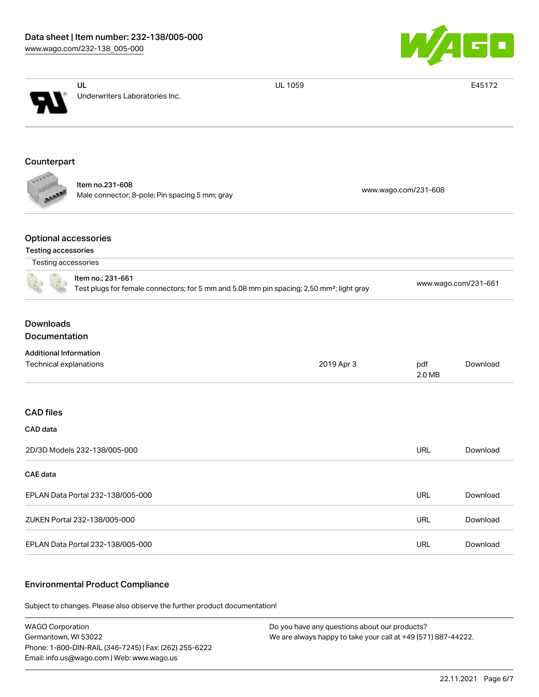

|                                                         | UL                                                                                                                         | <b>UL 1059</b>       |               | E45172               |
|---------------------------------------------------------|----------------------------------------------------------------------------------------------------------------------------|----------------------|---------------|----------------------|
|                                                         | Underwriters Laboratories Inc.                                                                                             |                      |               |                      |
| Counterpart                                             |                                                                                                                            |                      |               |                      |
|                                                         | Item no.231-608<br>Male connector; 8-pole; Pin spacing 5 mm; gray                                                          | www.wago.com/231-608 |               |                      |
| <b>Optional accessories</b><br>Testing accessories      |                                                                                                                            |                      |               |                      |
| Testing accessories                                     | Item no.: 231-661<br>Test plugs for female connectors; for 5 mm and 5.08 mm pin spacing; 2,50 mm <sup>2</sup> ; light gray |                      |               | www.wago.com/231-661 |
| <b>Downloads</b><br>Documentation                       |                                                                                                                            |                      |               |                      |
| <b>Additional Information</b><br>Technical explanations |                                                                                                                            | 2019 Apr 3           | pdf<br>2.0 MB | Download             |
| <b>CAD</b> files<br>CAD data                            |                                                                                                                            |                      |               |                      |
|                                                         | 2D/3D Models 232-138/005-000                                                                                               |                      | <b>URL</b>    | Download             |
| CAE data                                                |                                                                                                                            |                      |               |                      |
|                                                         | EPLAN Data Portal 232-138/005-000                                                                                          |                      | <b>URL</b>    | Download             |
|                                                         | ZUKEN Portal 232-138/005-000                                                                                               |                      | URL           | Download             |
|                                                         | EPLAN Data Portal 232-138/005-000                                                                                          |                      | URL           | Download             |

#### Environmental Product Compliance

Subject to changes. Please also observe the further product documentation!

WAGO Corporation Germantown, WI 53022 Phone: 1-800-DIN-RAIL (346-7245) | Fax: (262) 255-6222 Email: info.us@wago.com | Web: www.wago.us